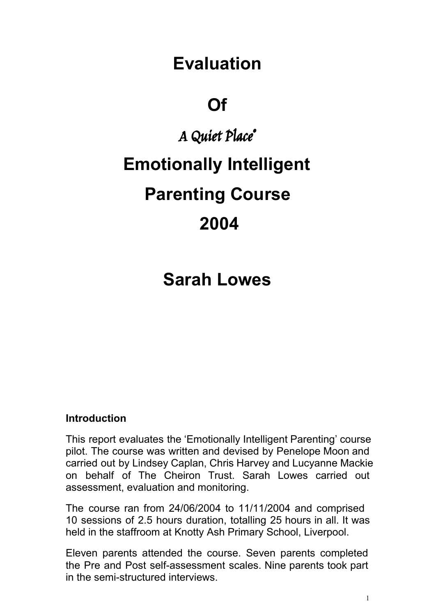# **Evaluation**

# **Of**

# A Quiet Place ® **Emotionally Intelligent Parenting Course 2004**

# **Sarah Lowes**

#### **Introduction**

This report evaluates the 'Emotionally Intelligent Parenting' course pilot. The course was written and devised by Penelope Moon and carried out by Lindsey Caplan, Chris Harvey and Lucyanne Mackie on behalf of The Cheiron Trust. Sarah Lowes carried out assessment, evaluation and monitoring.

The course ran from 24/06/2004 to 11/11/2004 and comprised 10 sessions of 2.5 hours duration, totalling 25 hours in all. It was held in the staffroom at Knotty Ash Primary School, Liverpool.

Eleven parents attended the course. Seven parents completed the Pre and Post self-assessment scales. Nine parents took part in the semi-structured interviews.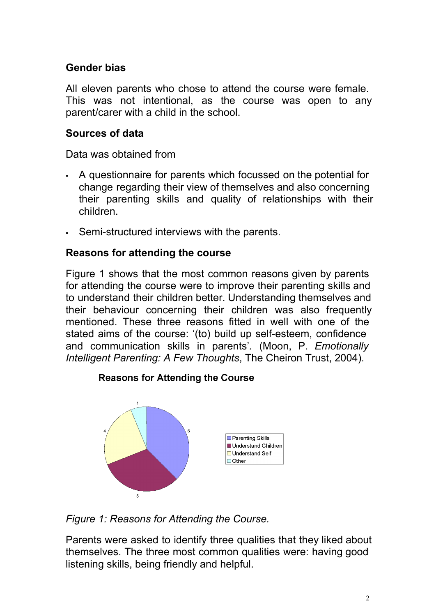#### **Gender bias**

All eleven parents who chose to attend the course were female. This was not intentional, as the course was open to any parent/carer with a child in the school.

#### **Sources of data**

Data was obtained from

- A questionnaire for parents which focussed on the potential for change regarding their view of themselves and also concerning their parenting skills and quality of relationships with their children.
- Semi-structured interviews with the parents.

#### **Reasons for attending the course**

Figure 1 shows that the most common reasons given by parents for attending the course were to improve their parenting skills and to understand their children better. Understanding themselves and their behaviour concerning their children was also frequently mentioned. These three reasons fitted in well with one of the stated aims of the course: '(to) build up self-esteem, confidence and communication skills in parents'*.* (Moon, P. *Emotionally Intelligent Parenting: A Few Thoughts*, The Cheiron Trust, 2004).



#### **Reasons for Attending the Course**

*Figure 1: Reasons for Attending the Course.*

Parents were asked to identify three qualities that they liked about themselves. The three most common qualities were: having good listening skills, being friendly and helpful.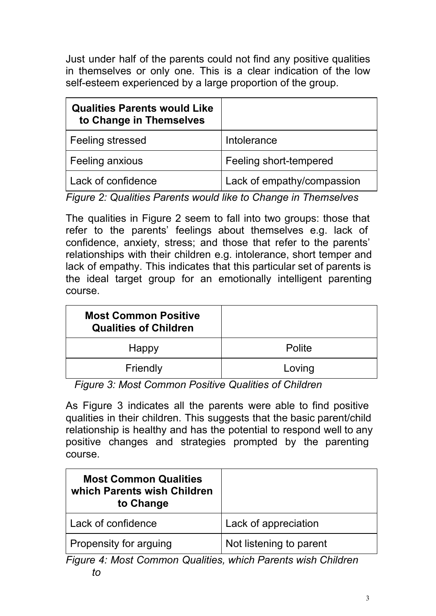Just under half of the parents could not find any positive qualities in themselves or only one. This is a clear indication of the low self-esteem experienced by a large proportion of the group.

| <b>Qualities Parents would Like</b><br>to Change in Themselves |                            |
|----------------------------------------------------------------|----------------------------|
| Feeling stressed                                               | Intolerance                |
| Feeling anxious                                                | Feeling short-tempered     |
| Lack of confidence                                             | Lack of empathy/compassion |

*Figure 2: Qualities Parents would like to Change in Themselves*

The qualities in Figure 2 seem to fall into two groups: those that refer to the parents' feelings about themselves e.g. lack of confidence, anxiety, stress; and those that refer to the parents' relationships with their children e.g. intolerance, short temper and lack of empathy. This indicates that this particular set of parents is the ideal target group for an emotionally intelligent parenting course.

| <b>Most Common Positive</b><br><b>Qualities of Children</b> |        |
|-------------------------------------------------------------|--------|
| Happy                                                       | Polite |
| Friendly                                                    | Loving |

*Figure 3: Most Common Positive Qualities of Children*

As Figure 3 indicates all the parents were able to find positive qualities in their children. This suggests that the basic parent/child relationship is healthy and has the potential to respond well to any positive changes and strategies prompted by the parenting course.

| <b>Most Common Qualities</b><br>which Parents wish Children<br>to Change |                         |
|--------------------------------------------------------------------------|-------------------------|
| Lack of confidence                                                       | Lack of appreciation    |
| Propensity for arguing                                                   | Not listening to parent |

*Figure 4: Most Common Qualities, which Parents wish Children to*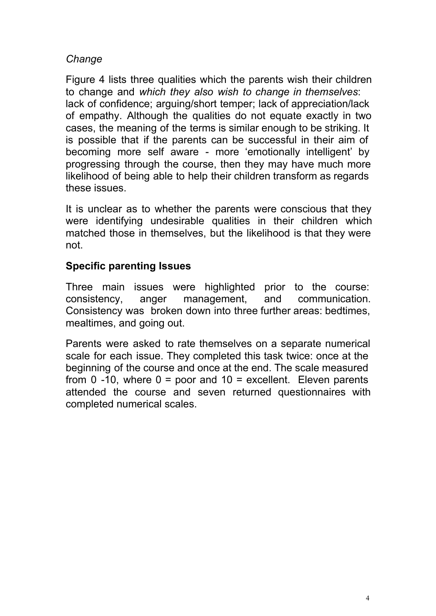#### *Change*

Figure 4 lists three qualities which the parents wish their children to change and *which they also wish to change in themselves*: lack of confidence; arguing/short temper; lack of appreciation/lack of empathy. Although the qualities do not equate exactly in two cases, the meaning of the terms is similar enough to be striking. It is possible that if the parents can be successful in their aim of becoming more self aware - more 'emotionally intelligent' by progressing through the course, then they may have much more likelihood of being able to help their children transform as regards these issues.

It is unclear as to whether the parents were conscious that they were identifying undesirable qualities in their children which matched those in themselves, but the likelihood is that they were not.

#### **Specific parenting Issues**

Three main issues were highlighted prior to the course: consistency, anger management, and communication. Consistency was broken down into three further areas: bedtimes, mealtimes, and going out.

Parents were asked to rate themselves on a separate numerical scale for each issue. They completed this task twice: once at the beginning of the course and once at the end. The scale measured from 0 -10, where  $0 =$  poor and  $10 =$  excellent. Eleven parents attended the course and seven returned questionnaires with completed numerical scales.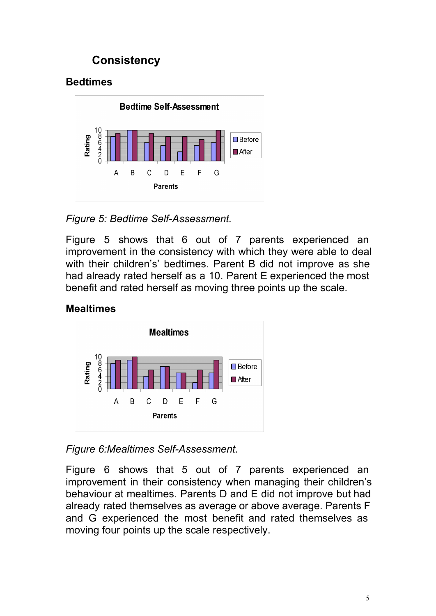# **Consistency**

## **Bedtimes**



*Figure 5: Bedtime Self-Assessment.* 

Figure 5 shows that 6 out of 7 parents experienced an improvement in the consistency with which they were able to deal with their children's' bedtimes. Parent B did not improve as she had already rated herself as a 10. Parent E experienced the most benefit and rated herself as moving three points up the scale.

### **Mealtimes**



**Figure 6: Mealtimes Self-Assessment.** 

Figure 6 shows that 5 out of 7 parents experienced an improvement in their consistency when managing their children's behaviour at mealtimes. Parents D and E did not improve but had already rated themselves as average or above average. Parents F and G experienced the most benefit and rated themselves as moving four points up the scale respectively.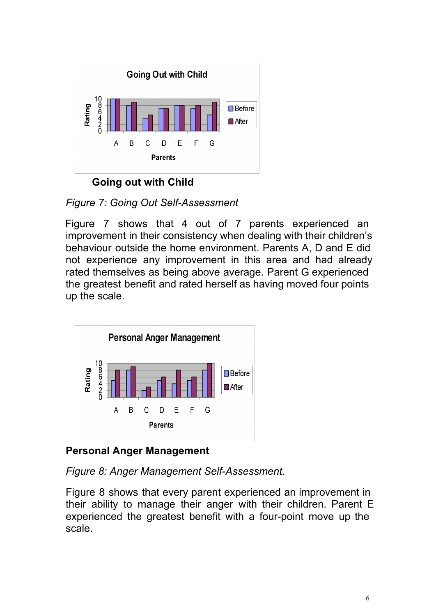

**Going out with Child**

*Figure 7: Going Out SelfAssessment*

Figure 7 shows that 4 out of 7 parents experienced an improvement in their consistency when dealing with their children's behaviour outside the home environment. Parents A, D and E did not experience any improvement in this area and had already rated themselves as being above average. Parent G experienced the greatest benefit and rated herself as having moved four points up the scale.



**Personal Anger Management**

*Figure 8: Anger Management Self-Assessment.* 

Figure 8 shows that every parent experienced an improvement in their ability to manage their anger with their children. Parent E experienced the greatest benefit with a four-point move up the scale.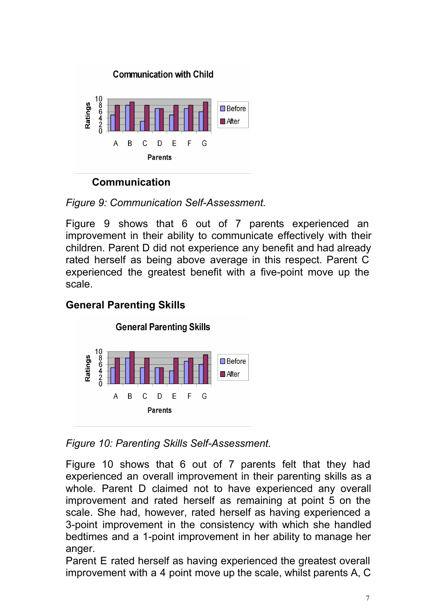

**Communication**

*Figure 9: Communication Self-Assessment.* 

Figure 9 shows that 6 out of 7 parents experienced an improvement in their ability to communicate effectively with their children. Parent D did not experience any benefit and had already rated herself as being above average in this respect. Parent C experienced the greatest benefit with a five-point move up the scale.

# **General Parenting Skills**



*Figure 10: Parenting Skills Self-Assessment.* 

Figure 10 shows that 6 out of 7 parents felt that they had experienced an overall improvement in their parenting skills as a whole. Parent D claimed not to have experienced any overall improvement and rated herself as remaining at point 5 on the scale. She had, however, rated herself as having experienced a 3-point improvement in the consistency with which she handled bedtimes and a 1-point improvement in her ability to manage her anger.

Parent E rated herself as having experienced the greatest overall improvement with a 4 point move up the scale, whilst parents A, C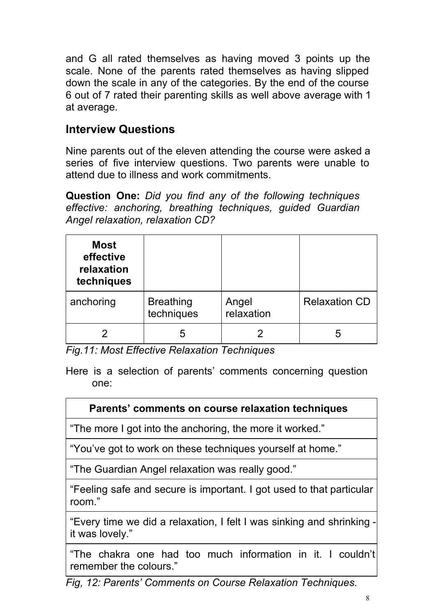and G all rated themselves as having moved 3 points up the scale. None of the parents rated themselves as having slipped down the scale in any of the categories. By the end of the course 6 out of 7 rated their parenting skills as well above average with 1 at average.

## **Interview Questions**

Nine parents out of the eleven attending the course were asked a series of five interview questions. Two parents were unable to attend due to illness and work commitments.

**Question One:** *Did you find any of the following techniques effective: anchoring, breathing techniques, guided Guardian Angel relaxation, relaxation CD?*

| <b>Most</b><br>effective<br>relaxation<br>techniques |                                |                     |                      |
|------------------------------------------------------|--------------------------------|---------------------|----------------------|
| anchoring                                            | <b>Breathing</b><br>techniques | Angel<br>relaxation | <b>Relaxation CD</b> |
|                                                      | ხ                              |                     | h                    |

*Fig.11: Most Effective Relaxation Techniques*

Here is a selection of parents' comments concerning question one:

#### **Parents' comments on course relaxation techniques**

"The more I got into the anchoring, the more it worked."

"You've got to work on these techniques yourself at home."

"The Guardian Angel relaxation was really good."

"Feeling safe and secure is important. I got used to that particular room."

"Every time we did a relaxation, I felt I was sinking and shrinking  $\overline{\phantom{a}}$ it was lovely."

"The chakra one had too much information in it. I couldn't remember the colours."

*Fig, 12: Parents' Comments on Course Relaxation Techniques.*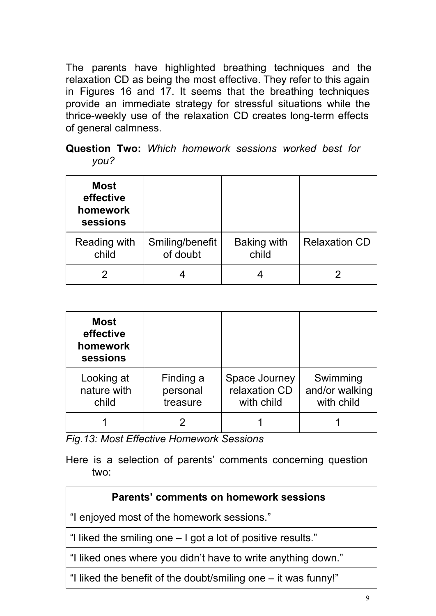The parents have highlighted breathing techniques and the relaxation CD as being the most effective. They refer to this again in Figures 16 and 17. It seems that the breathing techniques provide an immediate strategy for stressful situations while the thrice-weekly use of the relaxation CD creates long-term effects of general calmness.

#### **Question Two:** *Which homework sessions worked best for you?*

| <b>Most</b><br>effective<br>homework<br>sessions |                             |                             |                      |
|--------------------------------------------------|-----------------------------|-----------------------------|----------------------|
| Reading with<br>child                            | Smiling/benefit<br>of doubt | <b>Baking with</b><br>child | <b>Relaxation CD</b> |
|                                                  |                             |                             |                      |

| <b>Most</b><br>effective<br>homework<br>sessions |                                   |                                              |                                          |
|--------------------------------------------------|-----------------------------------|----------------------------------------------|------------------------------------------|
| Looking at<br>nature with<br>child               | Finding a<br>personal<br>treasure | Space Journey<br>relaxation CD<br>with child | Swimming<br>and/or walking<br>with child |
|                                                  |                                   |                                              |                                          |

*Fig.13: Most Effective Homework Sessions*

Here is a selection of parents' comments concerning question two:

| <b>Parents' comments on homework sessions</b>                  |
|----------------------------------------------------------------|
| "I enjoyed most of the homework sessions."                     |
| "I liked the smiling one – I got a lot of positive results."   |
| "I liked ones where you didn't have to write anything down."   |
| "I liked the benefit of the doubt/smiling one – it was funny!" |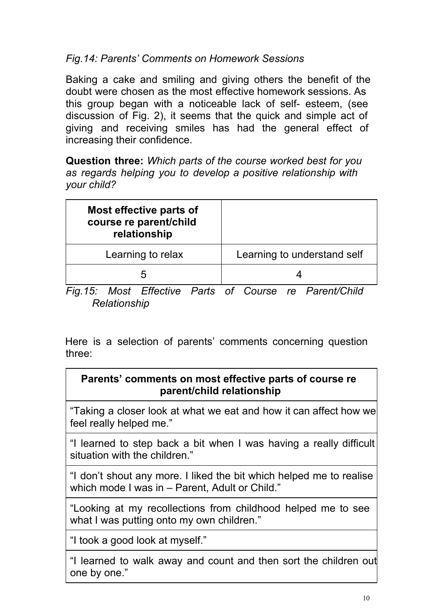#### *Fig.14: Parents' Comments on Homework Sessions*

Baking a cake and smiling and giving others the benefit of the doubt were chosen as the most effective homework sessions. As this group began with a noticeable lack of self- esteem, (see discussion of Fig. 2), it seems that the quick and simple act of giving and receiving smiles has had the general effect of increasing their confidence.

**Question three:** *Which parts of the course worked best for you as regards helping you to develop a positive relationship with your child?*

| Most effective parts of<br>course re parent/child<br>relationship |                             |
|-------------------------------------------------------------------|-----------------------------|
| Learning to relax                                                 | Learning to understand self |
| 'n                                                                |                             |
|                                                                   |                             |

*Fig.15: Most Effective Parts of Course re Parent/Child Relationship*

Here is a selection of parents' comments concerning question three:

#### **Parents' comments on most effective parts of course re parent/child relationship**

"Taking a closer look at what we eat and how it can affect how we feel really helped me."

"I learned to step back a bit when I was having a really difficult situation with the children."

"I don't shout any more. I liked the bit which helped me to realise which mode I was in – Parent, Adult or Child."

"Looking at my recollections from childhood helped me to see what I was putting onto my own children."

"I took a good look at myself."

"I learned to walk away and count and then sort the children out one by one."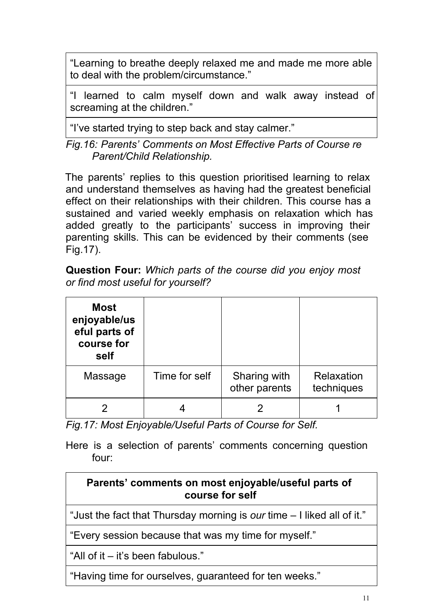"Learning to breathe deeply relaxed me and made me more able to deal with the problem/circumstance."

"I learned to calm myself down and walk away instead of screaming at the children."

"I've started trying to step back and stay calmer."

*Fig.16: Parents' Comments on Most Effective Parts of Course re Parent/Child Relationship.*

The parents' replies to this question prioritised learning to relax and understand themselves as having had the greatest beneficial effect on their relationships with their children. This course has a sustained and varied weekly emphasis on relaxation which has added greatly to the participants' success in improving their parenting skills. This can be evidenced by their comments (see Fig.17).

**Question Four:** *Which parts of the course did you enjoy most or find most useful for yourself?*

| <b>Most</b><br>enjoyable/us<br>eful parts of<br>course for<br>self |               |                               |                          |
|--------------------------------------------------------------------|---------------|-------------------------------|--------------------------|
| Massage                                                            | Time for self | Sharing with<br>other parents | Relaxation<br>techniques |
|                                                                    |               |                               |                          |

*Fig.17: Most Enjoyable/Useful Parts of Course for Self.*

Here is a selection of parents' comments concerning question four:

#### **Parents' comments on most enjoyable/useful parts of course for self**

"Just the fact that Thursday morning is *our* time – I liked all of it."

"Every session because that was my time for myself."

"All of it – it's been fabulous."

"Having time for ourselves, guaranteed for ten weeks."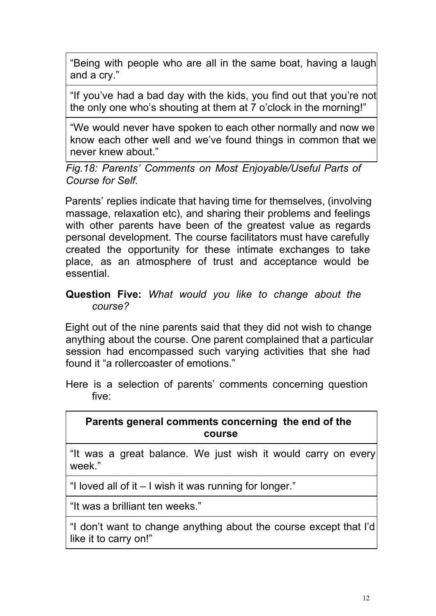"Being with people who are all in the same boat, having a laugh and a cry."

"If you've had a bad day with the kids, you find out that you're not the only one who's shouting at them at 7 o'clock in the morning!"

"We would never have spoken to each other normally and now we know each other well and we've found things in common that we never knew about."

*Fig.18: Parents' Comments on Most Enjoyable/Useful Parts of Course for Self.*

Parents' replies indicate that having time for themselves, (involving massage, relaxation etc), and sharing their problems and feelings with other parents have been of the greatest value as regards personal development. The course facilitators must have carefully created the opportunity for these intimate exchanges to take place, as an atmosphere of trust and acceptance would be essential.

#### **Question Five:** *What would you like to change about the course?*

Eight out of the nine parents said that they did not wish to change anything about the course. One parent complained that a particular session had encompassed such varying activities that she had found it "a rollercoaster of emotions."

Here is a selection of parents' comments concerning question five:

#### **Parents general comments concerning the end of the course**

"It was a great balance. We just wish it would carry on every week."

"I loved all of it – I wish it was running for longer."

"It was a brilliant ten weeks."

"I don't want to change anything about the course except that I'd like it to carry on!"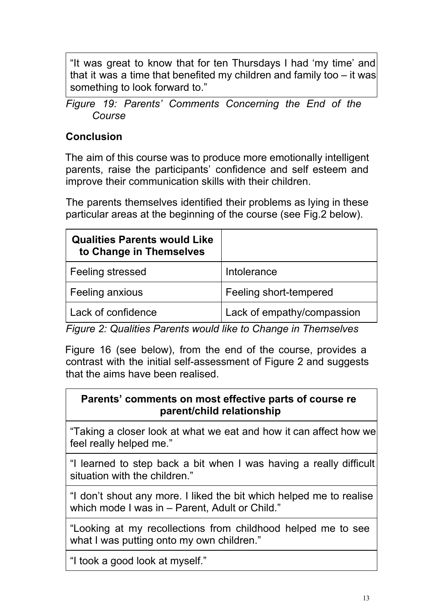"It was great to know that for ten Thursdays I had 'my time' and that it was a time that benefited my children and family too – it was something to look forward to."

*Figure 19: Parents' Comments Concerning the End of the Course*

## **Conclusion**

The aim of this course was to produce more emotionally intelligent parents, raise the participants' confidence and self esteem and improve their communication skills with their children.

The parents themselves identified their problems as lying in these particular areas at the beginning of the course (see Fig.2 below).

| <b>Qualities Parents would Like</b><br>to Change in Themselves |                            |
|----------------------------------------------------------------|----------------------------|
| Feeling stressed                                               | Intolerance                |
| Feeling anxious                                                | Feeling short-tempered     |
| Lack of confidence                                             | Lack of empathy/compassion |

*Figure 2: Qualities Parents would like to Change in Themselves*

Figure 16 (see below), from the end of the course, provides a contrast with the initial self-assessment of Figure 2 and suggests that the aims have been realised.

#### **Parents' comments on most effective parts of course re parent/child relationship**

"Taking a closer look at what we eat and how it can affect how we feel really helped me."

"I learned to step back a bit when I was having a really difficult situation with the children."

"I don't shout any more. I liked the bit which helped me to realise which mode I was in - Parent, Adult or Child."

"Looking at my recollections from childhood helped me to see what I was putting onto my own children."

"I took a good look at myself."